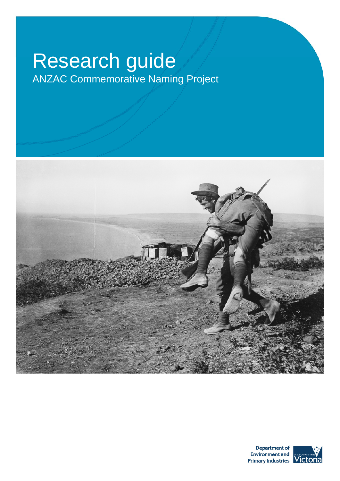# Research guide

ANZAC Commemorative Naming Project



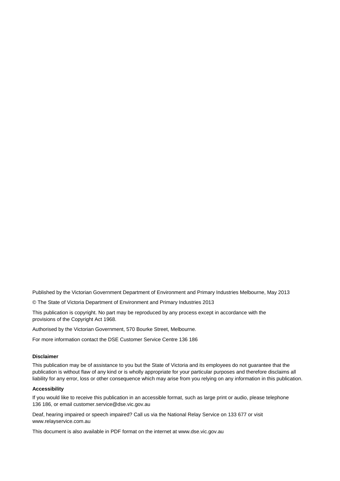Published by the Victorian Government Department of Environment and Primary Industries Melbourne, May 2013

© The State of Victoria Department of Environment and Primary Industries 2013

This publication is copyright. No part may be reproduced by any process except in accordance with the provisions of the Copyright Act 1968.

Authorised by the Victorian Government, 570 Bourke Street, Melbourne.

For more information contact the DSE Customer Service Centre 136 186

#### **Disclaimer**

This publication may be of assistance to you but the State of Victoria and its employees do not guarantee that the publication is without flaw of any kind or is wholly appropriate for your particular purposes and therefore disclaims all liability for any error, loss or other consequence which may arise from you relying on any information in this publication.

#### **Accessibility**

If you would like to receive this publication in an accessible format, such as large print or audio, please telephone 136 186, or email customer.service@dse.vic.gov.au

Deaf, hearing impaired or speech impaired? Call us via the National Relay Service on 133 677 or visit www.relayservice.com.au

This document is also available in PDF format on the internet at www.dse.vic.gov.au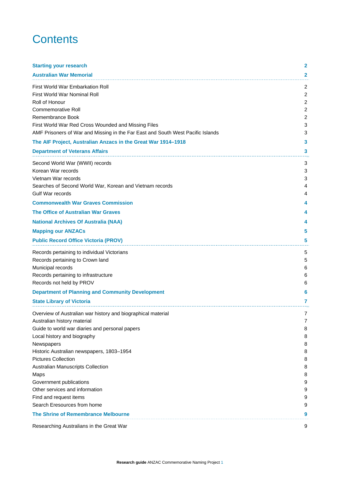# **Contents**

| <b>Starting your research</b>                                                                                                                                                                                                                                                                                                                                                                                                            | 2                                                                                        |
|------------------------------------------------------------------------------------------------------------------------------------------------------------------------------------------------------------------------------------------------------------------------------------------------------------------------------------------------------------------------------------------------------------------------------------------|------------------------------------------------------------------------------------------|
| <b>Australian War Memorial</b>                                                                                                                                                                                                                                                                                                                                                                                                           | 2                                                                                        |
| First World War Embarkation Roll<br>First World War Nominal Roll<br>Roll of Honour<br>Commemorative Roll<br>Remembrance Book<br>First World War Red Cross Wounded and Missing Files<br>AMF Prisoners of War and Missing in the Far East and South West Pacific Islands<br>The AIF Project, Australian Anzacs in the Great War 1914-1918                                                                                                  | 2<br>$\overline{c}$<br>$\overline{c}$<br>$\overline{c}$<br>$\overline{c}$<br>3<br>3<br>3 |
| <b>Department of Veterans Affairs</b>                                                                                                                                                                                                                                                                                                                                                                                                    | 3                                                                                        |
| Second World War (WWII) records<br>Korean War records<br>Vietnam War records<br>Searches of Second World War, Korean and Vietnam records<br>Gulf War records                                                                                                                                                                                                                                                                             | 3<br>3<br>3<br>4<br>4                                                                    |
| <b>Commonwealth War Graves Commission</b>                                                                                                                                                                                                                                                                                                                                                                                                | 4                                                                                        |
| The Office of Australian War Graves                                                                                                                                                                                                                                                                                                                                                                                                      | 4                                                                                        |
| <b>National Archives Of Australia (NAA)</b>                                                                                                                                                                                                                                                                                                                                                                                              | 4                                                                                        |
| <b>Mapping our ANZACs</b>                                                                                                                                                                                                                                                                                                                                                                                                                | 5                                                                                        |
| <b>Public Record Office Victoria (PROV)</b>                                                                                                                                                                                                                                                                                                                                                                                              | 5                                                                                        |
| Records pertaining to individual Victorians<br>Records pertaining to Crown land<br>Municipal records<br>Records pertaining to infrastructure<br>Records not held by PROV                                                                                                                                                                                                                                                                 | 5<br>5<br>6<br>6<br>6                                                                    |
| <b>Department of Planning and Community Development</b>                                                                                                                                                                                                                                                                                                                                                                                  | 6                                                                                        |
| <b>State Library of Victoria</b>                                                                                                                                                                                                                                                                                                                                                                                                         | 7                                                                                        |
| Overview of Australian war history and biographical material<br>Australian history material<br>Guide to world war diaries and personal papers<br>Local history and biography<br>Newspapers<br>Historic Australian newspapers, 1803-1954<br><b>Pictures Collection</b><br>Australian Manuscripts Collection<br>Maps<br>Government publications<br>Other services and information<br>Find and request items<br>Search Eresources from home | 7<br>7<br>8<br>8<br>8<br>8<br>8<br>8<br>8<br>9<br>9<br>9<br>9                            |
| The Shrine of Remembrance Melbourne                                                                                                                                                                                                                                                                                                                                                                                                      | 9                                                                                        |
| Researching Australians in the Great War                                                                                                                                                                                                                                                                                                                                                                                                 | 9                                                                                        |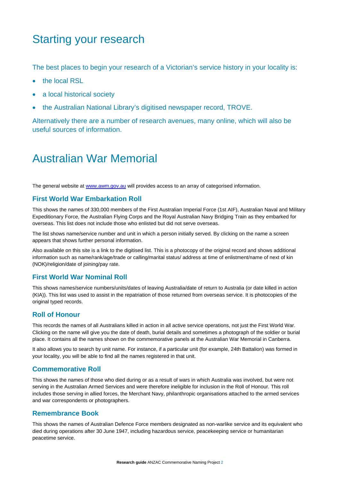# Starting your research

The best places to begin your research of a Victorian's service history in your locality is:

- the local RSL
- a local historical society
- the Australian National Library's digitised newspaper record, TROVE.

Alternatively there are a number of research avenues, many online, which will also be useful sources of information.

# Australian War Memorial

The general website at www.awm.gov.au will provides access to an array of categorised information.

### **First World War Embarkation Roll**

This shows the names of 330,000 members of the First Australian Imperial Force (1st AIF), Australian Naval and Military Expeditionary Force, the Australian Flying Corps and the Royal Australian Navy Bridging Train as they embarked for overseas. This list does not include those who enlisted but did not serve overseas.

The list shows name/service number and unit in which a person initially served. By clicking on the name a screen appears that shows further personal information.

Also available on this site is a link to the digitised list. This is a photocopy of the original record and shows additional information such as name/rank/age/trade or calling/marital status/ address at time of enlistment/name of next of kin (NOK)/religion/date of joining/pay rate.

### **First World War Nominal Roll**

This shows names/service numbers/units/dates of leaving Australia/date of return to Australia (or date killed in action (KIA)). This list was used to assist in the repatriation of those returned from overseas service. It is photocopies of the original typed records.

### **Roll of Honour**

This records the names of all Australians killed in action in all active service operations, not just the First World War. Clicking on the name will give you the date of death, burial details and sometimes a photograph of the soldier or burial place. It contains all the names shown on the commemorative panels at the Australian War Memorial in Canberra.

It also allows you to search by unit name. For instance, if a particular unit (for example, 24th Battalion) was formed in your locality, you will be able to find all the names registered in that unit.

#### **Commemorative Roll**

This shows the names of those who died during or as a result of wars in which Australia was involved, but were not serving in the Australian Armed Services and were therefore ineligible for inclusion in the Roll of Honour. This roll includes those serving in allied forces, the Merchant Navy, philanthropic organisations attached to the armed services and war correspondents or photographers.

### **Remembrance Book**

This shows the names of Australian Defence Force members designated as non-warlike service and its equivalent who died during operations after 30 June 1947, including hazardous service, peacekeeping service or humanitarian peacetime service.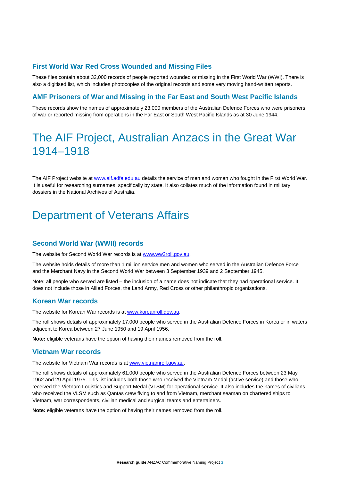# **First World War Red Cross Wounded and Missing Files**

These files contain about 32,000 records of people reported wounded or missing in the First World War (WWI). There is also a digitised list, which includes photocopies of the original records and some very moving hand-written reports.

# **AMF Prisoners of War and Missing in the Far East and South West Pacific Islands**

These records show the names of approximately 23,000 members of the Australian Defence Forces who were prisoners of war or reported missing from operations in the Far East or South West Pacific Islands as at 30 June 1944.

# The AIF Project, Australian Anzacs in the Great War 1914–1918

The AIF Project website at www.aif.adfa.edu.au details the service of men and women who fought in the First World War. It is useful for researching surnames, specifically by state. It also collates much of the information found in military dossiers in the National Archives of Australia.

# Department of Veterans Affairs

### **Second World War (WWII) records**

The website for Second World War records is at www.ww2roll.gov.au.

The website holds details of more than 1 million service men and women who served in the Australian Defence Force and the Merchant Navy in the Second World War between 3 September 1939 and 2 September 1945.

Note: all people who served are listed – the inclusion of a name does not indicate that they had operational service. It does not include those in Allied Forces, the Land Army, Red Cross or other philanthropic organisations.

### **Korean War records**

The website for Korean War records is at www.koreanroll.gov.au.

The roll shows details of approximately 17,000 people who served in the Australian Defence Forces in Korea or in waters adjacent to Korea between 27 June 1950 and 19 April 1956.

**Note:** eligible veterans have the option of having their names removed from the roll.

#### **Vietnam War records**

The website for Vietnam War records is at www.vietnamroll.gov.au.

The roll shows details of approximately 61,000 people who served in the Australian Defence Forces between 23 May 1962 and 29 April 1975. This list includes both those who received the Vietnam Medal (active service) and those who received the Vietnam Logistics and Support Medal (VLSM) for operational service. It also includes the names of civilians who received the VLSM such as Qantas crew flying to and from Vietnam, merchant seaman on chartered ships to Vietnam, war correspondents, civilian medical and surgical teams and entertainers.

**Note:** eligible veterans have the option of having their names removed from the roll.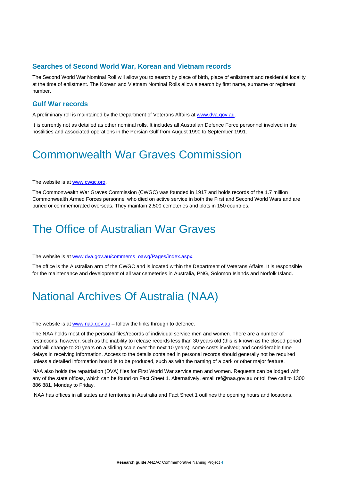# **Searches of Second World War, Korean and Vietnam records**

The Second World War Nominal Roll will allow you to search by place of birth, place of enlistment and residential locality at the time of enlistment. The Korean and Vietnam Nominal Rolls allow a search by first name, surname or regiment number.

## **Gulf War records**

A preliminary roll is maintained by the Department of Veterans Affairs at www.dva.gov.au.

It is currently not as detailed as other nominal rolls. It includes all Australian Defence Force personnel involved in the hostilities and associated operations in the Persian Gulf from August 1990 to September 1991.

# Commonwealth War Graves Commission

#### The website is at www.cwgc.org.

The Commonwealth War Graves Commission (CWGC) was founded in 1917 and holds records of the 1.7 million Commonwealth Armed Forces personnel who died on active service in both the First and Second World Wars and are buried or commemorated overseas. They maintain 2,500 cemeteries and plots in 150 countries.

# The Office of Australian War Graves

The website is at www.dva.gov.au/commems\_oawg/Pages/index.aspx.

The office is the Australian arm of the CWGC and is located within the Department of Veterans Affairs. It is responsible for the maintenance and development of all war cemeteries in Australia, PNG, Solomon Islands and Norfolk Island.

# National Archives Of Australia (NAA)

The website is at www.naa.gov.au – follow the links through to defence.

The NAA holds most of the personal files/records of individual service men and women. There are a number of restrictions, however, such as the inability to release records less than 30 years old (this is known as the closed period and will change to 20 years on a sliding scale over the next 10 years); some costs involved; and considerable time delays in receiving information. Access to the details contained in personal records should generally not be required unless a detailed information board is to be produced, such as with the naming of a park or other major feature.

NAA also holds the repatriation (DVA) files for First World War service men and women. Requests can be lodged with any of the state offices, which can be found on Fact Sheet 1. Alternatively, email ref@naa.gov.au or toll free call to 1300 886 881, Monday to Friday.

NAA has offices in all states and territories in Australia and Fact Sheet 1 outlines the opening hours and locations.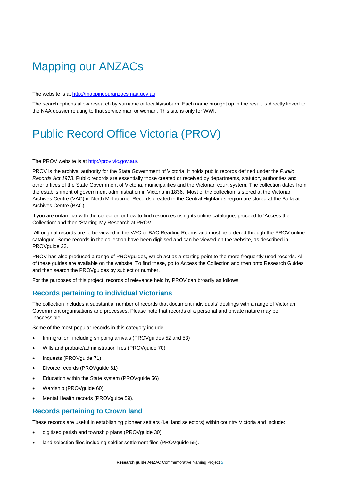# Mapping our ANZACs

The website is at http://mappingouranzacs.naa.gov.au.

The search options allow research by surname or locality/suburb. Each name brought up in the result is directly linked to the NAA dossier relating to that service man or woman. This site is only for WWI.

# Public Record Office Victoria (PROV)

#### The PROV website is at http://prov.vic.gov.au/.

PROV is the archival authority for the State Government of Victoria. It holds public records defined under the *Public Records Act 1973*. Public records are essentially those created or received by departments, statutory authorities and other offices of the State Government of Victoria, municipalities and the Victorian court system. The collection dates from the establishment of government administration in Victoria in 1836. Most of the collection is stored at the Victorian Archives Centre (VAC) in North Melbourne. Records created in the Central Highlands region are stored at the Ballarat Archives Centre (BAC).

If you are unfamiliar with the collection or how to find resources using its online catalogue, proceed to 'Access the Collection' and then 'Starting My Research at PROV'.

 All original records are to be viewed in the VAC or BAC Reading Rooms and must be ordered through the PROV online catalogue. Some records in the collection have been digitised and can be viewed on the website, as described in PROVguide 23.

PROV has also produced a range of PROVguides, which act as a starting point to the more frequently used records. All of these guides are available on the website. To find these, go to Access the Collection and then onto Research Guides and then search the PROVguides by subject or number.

For the purposes of this project, records of relevance held by PROV can broadly as follows:

# **Records pertaining to individual Victorians**

The collection includes a substantial number of records that document individuals' dealings with a range of Victorian Government organisations and processes. Please note that records of a personal and private nature may be inaccessible.

Some of the most popular records in this category include:

- Immigration, including shipping arrivals (PROVguides 52 and 53)
- Wills and probate/administration files (PROVguide 70)
- Inquests (PROVguide 71)
- Divorce records (PROVguide 61)
- Education within the State system (PROVguide 56)
- Wardship (PROVguide 60)
- Mental Health records (PROVguide 59).

### **Records pertaining to Crown land**

These records are useful in establishing pioneer settlers (i.e. land selectors) within country Victoria and include:

- digitised parish and township plans (PROVguide 30)
- land selection files including soldier settlement files (PROVguide 55).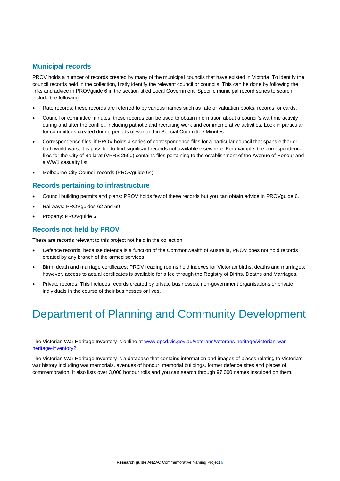# **Municipal records**

PROV holds a number of records created by many of the municipal councils that have existed in Victoria. To identify the council records held in the collection, firstly identify the relevant council or councils. This can be done by following the links and advice in PROVguide 6 in the section titled Local Government. Specific municipal record series to search include the following.

- Rate records: these records are referred to by various names such as rate or valuation books, records, or cards.
- Council or committee minutes: these records can be used to obtain information about a council's wartime activity during and after the conflict, including patriotic and recruiting work and commemorative activities. Look in particular for committees created during periods of war and in Special Committee Minutes.
- Correspondence files: if PROV holds a series of correspondence files for a particular council that spans either or both world wars, it is possible to find significant records not available elsewhere. For example, the correspondence files for the City of Ballarat (VPRS 2500) contains files pertaining to the establishment of the Avenue of Honour and a WW1 casualty list.
- Melbourne City Council records (PROVguide 64).

# **Records pertaining to infrastructure**

- Council building permits and plans: PROV holds few of these records but you can obtain advice in PROVguide 6.
- Railways: PROVguides 62 and 69
- Property: PROVguide 6

# **Records not held by PROV**

These are records relevant to this project not held in the collection:

- Defence records: because defence is a function of the Commonwealth of Australia, PROV does not hold records created by any branch of the armed services.
- Birth, death and marriage certificates: PROV reading rooms hold indexes for Victorian births, deaths and marriages; however, access to actual certificates is available for a fee through the Registry of Births, Deaths and Marriages.
- Private records: This includes records created by private businesses, non-government organisations or private individuals in the course of their businesses or lives.

# Department of Planning and Community Development

The Victorian War Heritage Inventory is online at www.dpcd.vic.gov.au/veterans/veterans-heritage/victorian-warheritage-inventory2.

The Victorian War Heritage Inventory is a database that contains information and images of places relating to Victoria's war history including war memorials, avenues of honour, memorial buildings, former defence sites and places of commemoration. It also lists over 3,000 honour rolls and you can search through 97,000 names inscribed on them.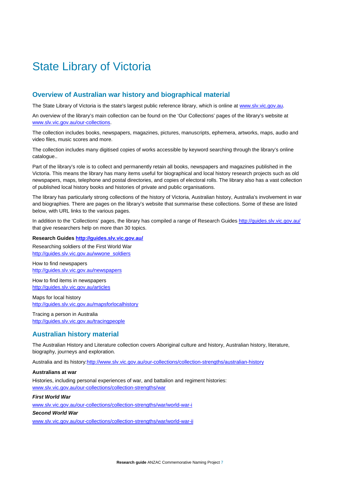# State Library of Victoria

# **Overview of Australian war history and biographical material**

The State Library of Victoria is the state's largest public reference library, which is online at www.slv.vic.gov.au.

An overview of the library's main collection can be found on the 'Our Collections' pages of the library's website at www.slv.vic.gov.au/our-collections.

The collection includes books, newspapers, magazines, pictures, manuscripts, ephemera, artworks, maps, audio and video files, music scores and more.

The collection includes many digitised copies of works accessible by keyword searching through the library's online catalogue..

Part of the library's role is to collect and permanently retain all books, newspapers and magazines published in the Victoria. This means the library has many items useful for biographical and local history research projects such as old newspapers, maps, telephone and postal directories, and copies of electoral rolls. The library also has a vast collection of published local history books and histories of private and public organisations.

The library has particularly strong collections of the history of Victoria, Australian history, Australia's involvement in war and biographies. There are pages on the library's website that summarise these collections. Some of these are listed below, with URL links to the various pages.

In addition to the 'Collections' pages, the library has compiled a range of Research Guides http://guides.slv.vic.gov.au/ that give researchers help on more than 30 topics.

**Research Guides http://guides.slv.vic.gov.au/**

Researching soldiers of the First World War http://guides.slv.vic.gov.au/wwone\_soldiers

How to find newspapers http://guides.slv.vic.gov.au/newspapers

How to find items in newspapers http://guides.slv.vic.gov.au/articles

Maps for local history http://guides.slv.vic.gov.au/mapsforlocalhistory

Tracing a person in Australia http://guides.slv.vic.gov.au/tracingpeople

# **Australian history material**

The Australian History and Literature collection covers Aboriginal culture and history, Australian history, literature, biography, journeys and exploration.

Australia and its history:http://www.slv.vic.gov.au/our-collections/collection-strengths/australian-history

#### **Australians at war**

Histories, including personal experiences of war, and battalion and regiment histories: www.slv.vic.gov.au/our-collections/collection-strengths/war

#### *First World War*

www.slv.vic.gov.au/our-collections/collection-strengths/war/world-war-i

*Second World War* 

www.slv.vic.gov.au/our-collections/collection-strengths/war/world-war-ii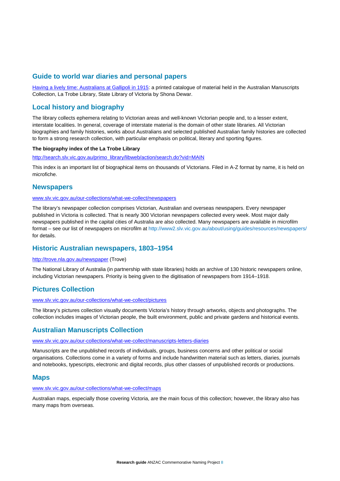# **Guide to world war diaries and personal papers**

Having a lively time: Australians at Gallipoli in 1915: a printed catalogue of material held in the Australian Manuscripts Collection, La Trobe Library, State Library of Victoria by Shona Dewar.

# **Local history and biography**

The library collects ephemera relating to Victorian areas and well-known Victorian people and, to a lesser extent, interstate localities. In general, coverage of interstate material is the domain of other state libraries. All Victorian biographies and family histories, works about Australians and selected published Australian family histories are collected to form a strong research collection, with particular emphasis on political, literary and sporting figures.

#### **The biography index of the La Trobe Library**

http://search.slv.vic.gov.au/primo\_library/libweb/action/search.do?vid=MAIN

This index is an important list of biographical items on thousands of Victorians. Filed in A-Z format by name, it is held on microfiche.

### **Newspapers**

#### www.slv.vic.gov.au/our-collections/what-we-collect/newspapers

The library's newspaper collection comprises Victorian, Australian and overseas newspapers. Every newspaper published in Victoria is collected. That is nearly 300 Victorian newspapers collected every week. Most major daily newspapers published in the capital cities of Australia are also collected. Many newspapers are available in microfilm format – see our list of newspapers on microfilm at http://www2.slv.vic.gov.au/about/using/guides/resources/newspapers/ for details.

### **Historic Australian newspapers, 1803–1954**

#### http://trove.nla.gov.au/newspaper (Trove)

The National Library of Australia (in partnership with state libraries) holds an archive of 130 historic newspapers online, including Victorian newspapers. Priority is being given to the digitisation of newspapers from 1914–1918.

### **Pictures Collection**

#### www.slv.vic.gov.au/our-collections/what-we-collect/pictures

The library's pictures collection visually documents Victoria's history through artworks, objects and photographs. The collection includes images of Victorian people, the built environment, public and private gardens and historical events.

### **Australian Manuscripts Collection**

#### www.slv.vic.gov.au/our-collections/what-we-collect/manuscripts-letters-diaries

Manuscripts are the unpublished records of individuals, groups, business concerns and other political or social organisations. Collections come in a variety of forms and include handwritten material such as letters, diaries, journals and notebooks, typescripts, electronic and digital records, plus other classes of unpublished records or productions.

### **Maps**

#### www.slv.vic.gov.au/our-collections/what-we-collect/maps

Australian maps, especially those covering Victoria, are the main focus of this collection; however, the library also has many maps from overseas.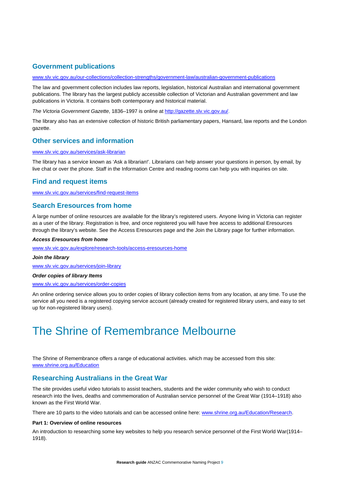# **Government publications**

#### www.slv.vic.gov.au/our-collections/collection-strengths/government-law/australian-government-publications

The law and government collection includes law reports, legislation, historical Australian and international government publications. The library has the largest publicly accessible collection of Victorian and Australian government and law publications in Victoria. It contains both contemporary and historical material.

*The Victoria Government Gazette*, 1836–1997 is online at http://gazette.slv.vic.gov.au/.

The library also has an extensive collection of historic British parliamentary papers, Hansard, law reports and the London gazette.

### **Other services and information**

#### www.slv.vic.gov.au/services/ask-librarian

The library has a service known as 'Ask a librarian!'. Librarians can help answer your questions in person, by email, by live chat or over the phone. Staff in the Information Centre and reading rooms can help you with inquiries on site.

#### **Find and request items**

www.slv.vic.gov.au/services/find-request-items

### **Search Eresources from home**

A large number of online resources are available for the library's registered users. Anyone living in Victoria can register as a user of the library. Registration is free, and once registered you will have free access to additional Eresources through the library's website. See the Access Eresources page and the Join the Library page for further information.

#### *Access Eresources from home*

www.slv.vic.gov.au/explore/research-tools/access-eresources-home

#### *Join the library*

www.slv.vic.gov.au/services/join-library

#### *Order copies of library Items*

www.slv.vic.gov.au/services/order-copies

An online ordering service allows you to order copies of library collection items from any location, at any time. To use the service all you need is a registered copying service account (already created for registered library users, and easy to set up for non-registered library users).

# The Shrine of Remembrance Melbourne

The Shrine of Remembrance offers a range of educational activities. which may be accessed from this site: www.shrine.org.au/Education

#### **Researching Australians in the Great War**

The site provides useful video tutorials to assist teachers, students and the wider community who wish to conduct research into the lives, deaths and commemoration of Australian service personnel of the Great War (1914–1918) also known as the First World War.

There are 10 parts to the video tutorials and can be accessed online here: www.shrine.org.au/Education/Research.

#### **Part 1: Overview of online resources**

An introduction to researching some key websites to help you research service personnel of the First World War(1914– 1918).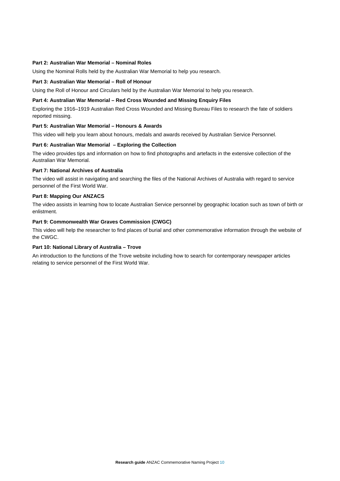#### **Part 2: Australian War Memorial – Nominal Roles**

Using the Nominal Rolls held by the Australian War Memorial to help you research.

#### **Part 3: Australian War Memorial – Roll of Honour**

Using the Roll of Honour and Circulars held by the Australian War Memorial to help you research.

#### **Part 4: Australian War Memorial – Red Cross Wounded and Missing Enquiry Files**

Exploring the 1916–1919 Australian Red Cross Wounded and Missing Bureau Files to research the fate of soldiers reported missing.

#### **Part 5: Australian War Memorial – Honours & Awards**

This video will help you learn about honours, medals and awards received by Australian Service Personnel.

#### **Part 6: Australian War Memorial – Exploring the Collection**

The video provides tips and information on how to find photographs and artefacts in the extensive collection of the Australian War Memorial.

#### **Part 7: National Archives of Australia**

The video will assist in navigating and searching the files of the National Archives of Australia with regard to service personnel of the First World War.

#### **Part 8: Mapping Our ANZACS**

The video assists in learning how to locate Australian Service personnel by geographic location such as town of birth or enlistment.

#### **Part 9: Commonwealth War Graves Commission (CWGC)**

This video will help the researcher to find places of burial and other commemorative information through the website of the CWGC.

#### **Part 10: National Library of Australia – Trove**

An introduction to the functions of the Trove website including how to search for contemporary newspaper articles relating to service personnel of the First World War.